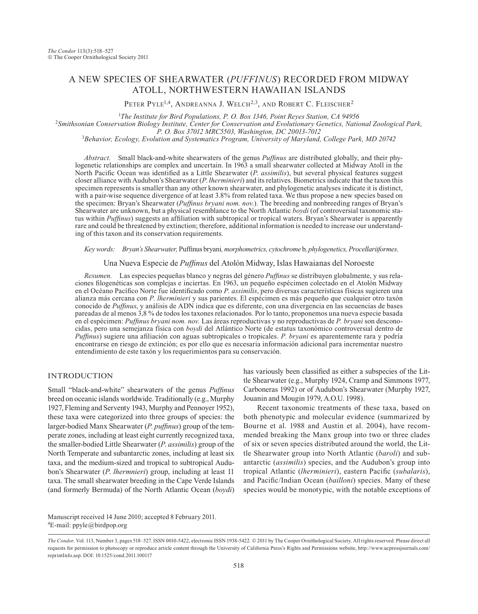# A NEW SPECIES OF SHEARWATER (*PUFFINUS*) RECORDED FROM MIDWAY ATOLL, NORTHWESTERN HAWAIIAN ISLANDS

PETER PYLE<sup>1,4</sup>, ANDREANNA J. WELCH<sup>2,3</sup>, AND ROBERT C. FLEISCHER<sup>2</sup>

<sup>1</sup>The Institute for Bird Populations, P. O. Box 1346, Point Reyes Station, CA 94956 <sup>2</sup>Smithsonian Conservation Biology Institute, Center for Conservation and Evolutionary Genetics, National Zoological Park, <br>*P. O. Box 37012 MRC5503, Washington, DC 20013-7012 P. O. Box 37012 MRC5503, Washington, DC 20013-7012* <sup>3</sup> *Behavior, Ecology, Evolution and Systematics Program, University of Maryland, College Park, MD 20742*

*Abstract.* Small black-and-white shearwaters of the genus *Puffinus* are distributed globally, and their phylogenetic relationships are complex and uncertain. In 1963 a small shearwater collected at Midway Atoll in the North Pacific Ocean was identified as a Little Shearwater (*P*. *assimilis*), but several physical features suggest closer alliance with Audubon's Shearwater (*P*. *lherminieri*) and its relatives. Biometrics indicate that the taxon this specimen represents is smaller than any other known shearwater, and phylogenetic analyses indicate it is distinct, with a pair-wise sequence divergence of at least 3.8% from related taxa. We thus propose a new species based on the specimen: Bryan's Shearwater (*Puffinus bryani nom. nov.*)*.* The breeding and nonbreeding ranges of Bryan's Shearwater are unknown, but a physical resemblance to the North Atlantic *boydi* (of controversial taxonomic status within *Puffinus*) suggests an affiliation with subtropical or tropical waters. Bryan's Shearwater is apparently rare and could be threatened by extinction; therefore, additional information is needed to increase our understanding of this taxon and its conservation requirements.

*Key words: Bryan's Shearwater,* Puffinus bryani*, morphometrics, cytochrome* b*, phylogenetics, Procellariiformes*.

Una Nueva Especie de *Puffinus* del Atolón Midway, Islas Hawaianas del Noroeste

*Resumen.* Las especies pequeñas blanco y negras del género *Puffinus* se distribuyen globalmente, y sus relaciones filogenéticas son complejas e inciertas. En 1963, un pequeño espécimen colectado en el Atolón Midway en el Océano Pacífico Norte fue identificado como *P. assimilis*, pero diversas características físicas sugieren una alianza más cercana con *P. lherminieri* y sus parientes. El espécimen es más pequeño que cualquier otro taxón conocido de *Puffinus*, y análisis de ADN indica que es diferente, con una divergencia en las secuencias de bases pareadas de al menos 3,8 % de todos los taxones relacionados. Por lo tanto, proponemos una nueva especie basada en el espécimen: *Puffinus bryani nom. nov.* Las áreas reproductivas y no reproductivas de *P. bryani* son desconocidas, pero una semejanza física con *boydi* del Atlántico Norte (de estatus taxonómico controversial dentro de *Puffinus*) sugiere una afiliación con aguas subtropicales o tropicales. *P. bryani* es aparentemente rara y podría encontrarse en riesgo de extinción; es por ello que es necesaria información adicional para incrementar nuestro entendimiento de este taxón y los requerimientos para su conservación.

# INTRODUCTION

Small "black-and-white" shearwaters of the genus *Puffinus* breed on oceanic islands worldwide. Traditionally (e.g., Murphy 1927, Fleming and Serventy 1943, Murphy and Pennoyer 1952), these taxa were categorized into three groups of species: the larger-bodied Manx Shearwater (*P*. *puffinus*) group of the temperate zones, including at least eight currently recognized taxa, the smaller-bodied Little Shearwater (*P*. *assimilis*) group of the North Temperate and subantarctic zones, including at least six taxa, and the medium-sized and tropical to subtropical Audubon's Shearwater (*P*. *lhermnieri*) group, including at least 11 taxa. The small shearwater breeding in the Cape Verde Islands (and formerly Bermuda) of the North Atlantic Ocean (*boydi*)

has variously been classified as either a subspecies of the Little Shearwater (e.g., Murphy 1924, Cramp and Simmons 1977, Carboneras 1992) or of Audubon's Shearwater (Murphy 1927, Jouanin and Mougin 1979, A.O.U. 1998).

Recent taxonomic treatments of these taxa, based on both phenotypic and molecular evidence (summarized by Bourne et al. 1988 and Austin et al. 2004), have recommended breaking the Manx group into two or three clades of six or seven species distributed around the world, the Little Shearwater group into North Atlantic (*baroli*) and subantarctic (*assimilis*) species, and the Audubon's group into tropical Atlantic (*lherminieri*), eastern Pacific (*subalaris*), and Pacific/Indian Ocean (*bailloni*) species. Many of these species would be monotypic, with the notable exceptions of

4 E-mail: ppyle@birdpop.org Manuscript received 14 June 2010; accepted 8 February 2011.

*The Condor,* Vol. 113, Number 3, pages 518–527. ISSN 0010-5422, electronic ISSN 1938-5422. 2011 by The Cooper Ornithological Society. All rights reserved. Please direct all requests for permission to photocopy or reproduce article content through the University of California Press's Rights and Permissions website, http://www.ucpressjournals.com/ reprintInfo.asp. DOI: 10.1525/cond.2011.100117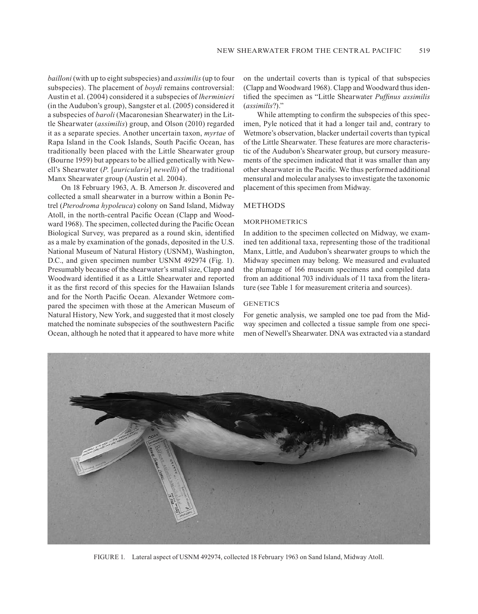*bailloni* (with up to eight subspecies) and *assimilis* (up to four subspecies). The placement of *boydi* remains controversial: Austin et al. (2004) considered it a subspecies of *lherminieri* (in the Audubon's group), Sangster et al. (2005) considered it a subspecies of *baroli* (Macaronesian Shearwater) in the Little Shearwater (*assimilis*) group, and Olson (2010) regarded it as a separate species. Another uncertain taxon, *myrtae* of Rapa Island in the Cook Islands, South Pacific Ocean, has traditionally been placed with the Little Shearwater group (Bourne 1959) but appears to be allied genetically with Newell's Shearwater (*P*. [*auricularis*] *newelli*) of the traditional Manx Shearwater group (Austin et al. 2004).

On 18 February 1963, A. B. Amerson Jr. discovered and collected a small shearwater in a burrow within a Bonin Petrel (*Pterodroma hypoleuca*) colony on Sand Island, Midway Atoll, in the north-central Pacific Ocean (Clapp and Woodward 1968). The specimen, collected during the Pacific Ocean Biological Survey, was prepared as a round skin, identified as a male by examination of the gonads, deposited in the U.S. National Museum of Natural History (USNM), Washington, D.C., and given specimen number USNM 492974 (Fig. 1). Presumably because of the shearwater's small size, Clapp and Woodward identified it as a Little Shearwater and reported it as the first record of this species for the Hawaiian Islands and for the North Pacific Ocean. Alexander Wetmore compared the specimen with those at the American Museum of Natural History, New York, and suggested that it most closely matched the nominate subspecies of the southwestern Pacific Ocean, although he noted that it appeared to have more white

on the undertail coverts than is typical of that subspecies (Clapp and Woodward 1968). Clapp and Woodward thus identified the specimen as "Little Shearwater *Puffinus assimilis* (*assimilis*?)."

While attempting to confirm the subspecies of this specimen, Pyle noticed that it had a longer tail and, contrary to Wetmore's observation, blacker undertail coverts than typical of the Little Shearwater. These features are more characteristic of the Audubon's Shearwater group, but cursory measurements of the specimen indicated that it was smaller than any other shearwater in the Pacific. We thus performed additional mensural and molecular analyses to investigate the taxonomic placement of this specimen from Midway.

# **METHODS**

# **MORPHOMETRICS**

In addition to the specimen collected on Midway, we examined ten additional taxa, representing those of the traditional Manx, Little, and Audubon's shearwater groups to which the Midway specimen may belong. We measured and evaluated the plumage of 166 museum specimens and compiled data from an additional 703 individuals of 11 taxa from the literature (see Table 1 for measurement criteria and sources).

### **GENETICS**

For genetic analysis, we sampled one toe pad from the Midway specimen and collected a tissue sample from one specimen of Newell's Shearwater. DNA was extracted via a standard



Figure 1. Lateral aspect of USNM 492974, collected 18 February 1963 on Sand Island, Midway Atoll.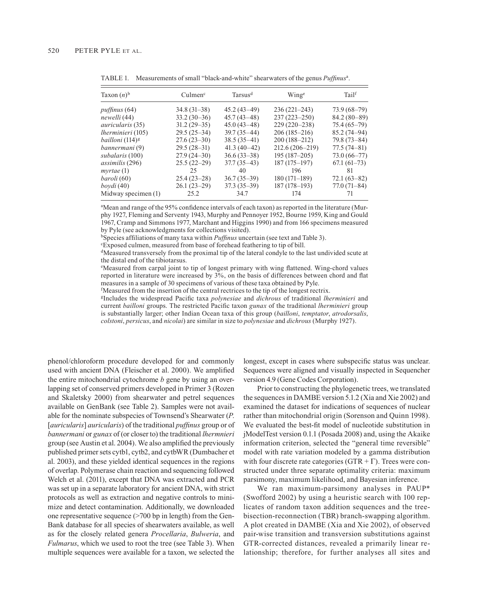| Taxon $(n)$ <sup>b</sup>           | Culmen <sup>c</sup> | Tarsus <sup>d</sup> | Winge              | Tailf           |  |
|------------------------------------|---------------------|---------------------|--------------------|-----------------|--|
| <i>puffinus</i> (64)               | $34.8(31-38)$       | $45.2(43-49)$       | $236(221-243)$     | $73.9(68-79)$   |  |
| newelli (44)                       | $33.2(30-36)$       | $45.7(43 - 48)$     | $237(223 - 250)$   | $84.2(80-89)$   |  |
| <i>auricularis</i> (35)            | $31.2(29-35)$       | $45.0(43-48)$       | $229(220-238)$     | $75.4(65-79)$   |  |
| <i>lherminieri</i> (105)           | $29.5(25-34)$       | $39.7(35 - 44)$     | $206(185-216)$     | $85.2(74-94)$   |  |
| <i>bailloni</i> (114) <sup>g</sup> | $27.6(23-30)$       | $38.5(35-41)$       | $200(188-212)$     | $79.8(73 - 84)$ |  |
| bannermani (9)                     | $29.5(28-31)$       | $41.3(40-42)$       | $212.6(206 - 219)$ | $77.5(74 - 81)$ |  |
| subalaris (100)                    | $27.9(24-30)$       | $36.6(33-38)$       | $195(187-205)$     | $73.0(66 - 77)$ |  |
| <i>assimilis</i> (296)             | $25.5(22-29)$       | $37.7(35-43)$       | $187(175-197)$     | $67.1(61-73)$   |  |
| mvrtae(1)                          | 25                  | 40                  | 196                | 81              |  |
| baroli (60)                        | $25.4(23-28)$       | $36.7(35-39)$       | $180(171-189)$     | $72.1(63-82)$   |  |
| bovdi (40)                         | $26.1(23-29)$       | $37.3(35-39)$       | $187(178-193)$     | $77.0(71-84)$   |  |
| Midway specimen (1)                | 25.2                | 34.7                | 174                | 71              |  |

TABLE 1. Measurements of small "black-and-white" shearwaters of the genus *Puffinus<sup>a</sup>*.

a Mean and range of the 95% confidence intervals of each taxon) as reported in the literature (Murphy 1927, Fleming and Serventy 1943, Murphy and Pennoyer 1952, Bourne 1959, King and Gould 1967, Cramp and Simmons 1977, Marchant and Higgins 1990) and from 166 specimens measured by Pyle (see acknowledgments for collections visited).

bSpecies affiliations of many taxa within *Puffinus* uncertain (see text and Table 3).

c Exposed culmen, measured from base of forehead feathering to tip of bill.

dMeasured transversely from the proximal tip of the lateral condyle to the last undivided scute at the distal end of the tibiotarsus.

e Measured from carpal joint to tip of longest primary with wing flattened. Wing-chord values reported in literature were increased by 3%, on the basis of differences between chord and flat measures in a sample of 30 specimens of various of these taxa obtained by Pyle.

<sup>f</sup>Measured from the insertion of the central rectrices to the tip of the longest rectrix.

gIncludes the widespread Pacific taxa *polynesiae* and *dichrous* of traditional *lherminieri* and current *bailloni* groups. The restricted Pacific taxon *gunax* of the traditional *lherminieri* group is substantially larger; other Indian Ocean taxa of this group (*bailloni*, *temptator*, *atrodorsalis*, *colstoni*, *persicus*, and *nicolai*) are similar in size to *polynesiae* and *dichrous* (Murphy 1927).

phenol/chloroform procedure developed for and commonly used with ancient DNA (Fleischer et al. 2000). We amplified the entire mitochondrial cytochrome *b* gene by using an overlapping set of conserved primers developed in Primer 3 (Rozen and Skaletsky 2000) from shearwater and petrel sequences available on GenBank (see Table 2). Samples were not available for the nominate subspecies of Townsend's Shearwater (*P*. [*auricularis*] *auricularis*) of the traditional *puffinus* group or of *bannermani* or *gunax* of (or closer to) the traditional *lhermnieri* group (see Austin et al. 2004). We also amplified the previously published primer sets cytb1, cytb2, and cytbWR (Dumbacher et al. 2003), and these yielded identical sequences in the regions of overlap. Polymerase chain reaction and sequencing followed Welch et al. (2011), except that DNA was extracted and PCR was set up in a separate laboratory for ancient DNA, with strict protocols as well as extraction and negative controls to minimize and detect contamination. Additionally, we downloaded one representative sequence (>700 bp in length) from the Gen-Bank database for all species of shearwaters available, as well as for the closely related genera *Procellaria*, *Bulweria*, and *Fulmarus*, which we used to root the tree (see Table 3). When multiple sequences were available for a taxon, we selected the

longest, except in cases where subspecific status was unclear. Sequences were aligned and visually inspected in Sequencher version 4.9 (Gene Codes Corporation).

Prior to constructing the phylogenetic trees, we translated the sequences in DAMBE version 5.1.2 (Xia and Xie 2002) and examined the dataset for indications of sequences of nuclear rather than mitochondrial origin (Sorenson and Quinn 1998). We evaluated the best-fit model of nucleotide substitution in jModelTest version 0.1.1 (Posada 2008) and, using the Akaike information criterion, selected the "general time reversible" model with rate variation modeled by a gamma distribution with four discrete rate categories ( $GTR + \Gamma$ ). Trees were constructed under three separate optimality criteria: maximum parsimony, maximum likelihood, and Bayesian inference.

We ran maximum-parsimony analyses in PAUP<sup>\*</sup> (Swofford 2002) by using a heuristic search with 100 replicates of random taxon addition sequences and the treebisection-reconnection (TBR) branch-swapping algorithm. A plot created in DAMBE (Xia and Xie 2002), of observed pair-wise transition and transversion substitutions against GTR-corrected distances, revealed a primarily linear relationship; therefore, for further analyses all sites and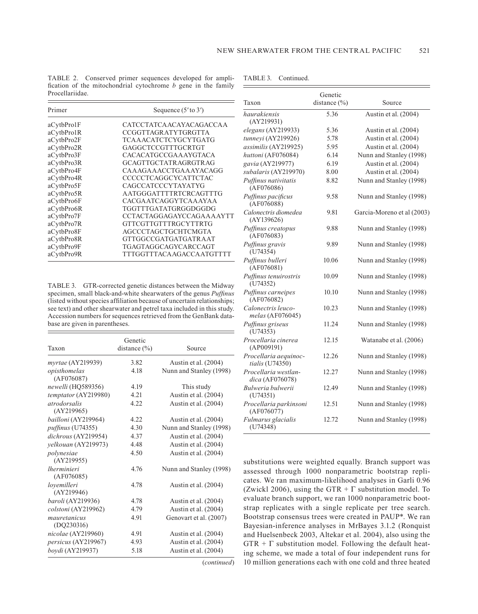Table 2. Conserved primer sequences developed for amplification of the mitochondrial cytochrome *b* gene in the family Procellariidae.

| Primer     | Sequence $(5'$ to $3')$   |  |  |  |
|------------|---------------------------|--|--|--|
| aCytbPro1F | CATCCTATCA ACAYACAGACCA A |  |  |  |
| aCytbPro1R | CCGGTTAGRATYTGRGTTA       |  |  |  |
| aCytbPro2F | TCAAACATCTCYGCYTGATG      |  |  |  |
| aCytbPro2R | GAGGCTCCGTTTGCRTGT        |  |  |  |
| aCytbPro3F | CACACATGCCGA A AYGTACA    |  |  |  |
| aCytbPro3R | GCAGTTGCTATR AGRGTR AG    |  |  |  |
| aCytbPro4F | CAAAGAAACCTGAAAYACAGG     |  |  |  |
| aCytbPro4R | CCCCCTCAGGCYCATTCTAC      |  |  |  |
| aCytbPro5F | CAGCCATCCCYTAYATYG        |  |  |  |
| aCytbPro5R | AATGGGATTTTRTCRCAGTTTG    |  |  |  |
| aCytbPro6F | CACGAATCAGGYTCAAAYAA      |  |  |  |
| aCytbPro6R | TGGTTTGATATGRGGDGGDG      |  |  |  |
| aCytbPro7F | CCTACTAGGAGAYCCAGAAAAYTT  |  |  |  |
| aCytbPro7R | GTTCGTTGTTTRGCYTTRTG      |  |  |  |
| aCytbPro8F | AGCCCTAGCTGCHTCMGTA       |  |  |  |
| aCytbPro8R | GTTGGCCGATGATGATRAAT      |  |  |  |
| aCytbPro9F | TGAGTAGGCAGYCARCCAGT      |  |  |  |
| aCytbPro9R | TTTGGTTTACAAGACCAATGTTTT  |  |  |  |

Table 3. GTR-corrected genetic distances between the Midway specimen, small black-and-white shearwaters of the genus *Puffinus* (listed without species affiliation because of uncertain relationships; see text) and other shearwater and petrel taxa included in this study. Accession numbers for sequences retrieved from the GenBank database are given in parentheses.

| Taxon                            | Genetic<br>distance $(\% )$ | Source                  |  |  |
|----------------------------------|-----------------------------|-------------------------|--|--|
| myrtae (AY219939)                | 3.82                        | Austin et al. (2004)    |  |  |
| opisthomelas<br>(AF076087)       | 4.18                        | Nunn and Stanley (1998) |  |  |
| newelli (HQ589356)               | 4.19                        | This study              |  |  |
| temptator (AY219980)             | 4.21                        | Austin et al. (2004)    |  |  |
| atrodorsalis<br>(AY219965)       | 4.22                        | Austin et al. (2004)    |  |  |
| bailloni (AY219964)              | 4.22                        | Austin et al. (2004)    |  |  |
| puffinus (U74355)                | 4.30                        | Nunn and Stanley (1998) |  |  |
| dichrous (AY219954)              | 4.37                        | Austin et al. (2004)    |  |  |
| yelkouan (AY219973)              | 4.48                        | Austin et al. (2004)    |  |  |
| polynesiae<br>(AY219955)         | 4.50                        | Austin et al. (2004)    |  |  |
| <i>lherminieri</i><br>(AF076085) | 4.76                        | Nunn and Stanley (1998) |  |  |
| lovemilleri<br>(AY219946)        | 4.78                        | Austin et al. (2004)    |  |  |
| baroli (AY219936)                | 4.78                        | Austin et al. (2004)    |  |  |
| colstoni (AY219962)              | 4.79                        | Austin et al. (2004)    |  |  |
| mauretanicus                     | 4.91                        | Genovart et al. (2007)  |  |  |
| (DQ230316)                       |                             |                         |  |  |
| nicolae (AY219960)               | 4.91                        | Austin et al. (2004)    |  |  |
| persicus (AY219967)              | 4.93                        | Austin et al. (2004)    |  |  |
| boydi (AY219937)                 | 5.18                        | Austin et al. (2004)    |  |  |

(*continued*)

| Taxon                                    | Genetic<br>distance $(\% )$ | Source                     |  |  |  |
|------------------------------------------|-----------------------------|----------------------------|--|--|--|
| haurakiensis<br>(AY219931)               | 5.36                        | Austin et al. (2004)       |  |  |  |
| elegans (AY219933)                       | 5.36                        | Austin et al. (2004)       |  |  |  |
| tunneyi (AY219926)                       | 5.78                        | Austin et al. (2004)       |  |  |  |
| assimilis (AY219925)                     | 5.95                        | Austin et al. (2004)       |  |  |  |
| huttoni (AF076084)                       | 6.14                        | Nunn and Stanley (1998)    |  |  |  |
| gavia (AY219977)                         | 6.19                        | Austin et al. (2004)       |  |  |  |
| subalaris (AY219970)                     | 8.00                        | Austin et al. (2004)       |  |  |  |
| Puffinus nativitatis<br>(AF076086)       | 8.82                        | Nunn and Stanley (1998)    |  |  |  |
| Puffinus pacificus<br>(AF076088)         | 9.58                        | Nunn and Stanley (1998)    |  |  |  |
| Calonectris diomedea<br>(AY139626)       | 9.81                        | Garcia-Moreno et al (2003) |  |  |  |
| Puffinus creatopus<br>(AF076083)         | 9.88                        | Nunn and Stanley (1998)    |  |  |  |
| Puffinus gravis<br>(U74354)              | 9.89                        | Nunn and Stanley (1998)    |  |  |  |
| Puffinus bulleri<br>(AF076081)           | 10.06                       | Nunn and Stanley (1998)    |  |  |  |
| Puffinus tenuirostris<br>(U74352)        | 10.09                       | Nunn and Stanley (1998)    |  |  |  |
| Puffinus carneipes<br>(AF076082)         | 10.10                       | Nunn and Stanley (1998)    |  |  |  |
| Calonectris leuco-<br>melas (AF076045)   | 10.23                       | Nunn and Stanley (1998)    |  |  |  |
| Puffinus griseus<br>(U74353)             | 11.24                       | Nunn and Stanley (1998)    |  |  |  |
| Procellaria cinerea<br>(AP009191)        | 12.15                       | Watanabe et al. (2006)     |  |  |  |
| Procellaria aequinoc-<br>tialis (U74350) | 12.26                       | Nunn and Stanley (1998)    |  |  |  |
| Procellaria westlan-<br>dica (AF076078)  | 12.27                       | Nunn and Stanley (1998)    |  |  |  |
| Bulweria bulwerii<br>(U74351)            | 12.49                       | Nunn and Stanley (1998)    |  |  |  |
| Procellaria parkinsoni<br>(AF076077)     | 12.51                       | Nunn and Stanley (1998)    |  |  |  |
| Fulmarus glacialis<br>(U74348)           | 12.72                       | Nunn and Stanley (1998)    |  |  |  |

substitutions were weighted equally. Branch support was assessed through 1000 nonparametric bootstrap replicates. We ran maximum-likelihood analyses in Garli 0.96 (Zwickl 2006), using the GTR +  $\Gamma$  substitution model. To evaluate branch support, we ran 1000 nonparametric bootstrap replicates with a single replicate per tree search. Bootstrap consensus trees were created in PAUP\*. We ran Bayesian-inference analyses in MrBayes 3.1.2 (Ronquist and Huelsenbeck 2003, Altekar et al. 2004), also using the  $GTR + \Gamma$  substitution model. Following the default heating scheme, we made a total of four independent runs for 10 million generations each with one cold and three heated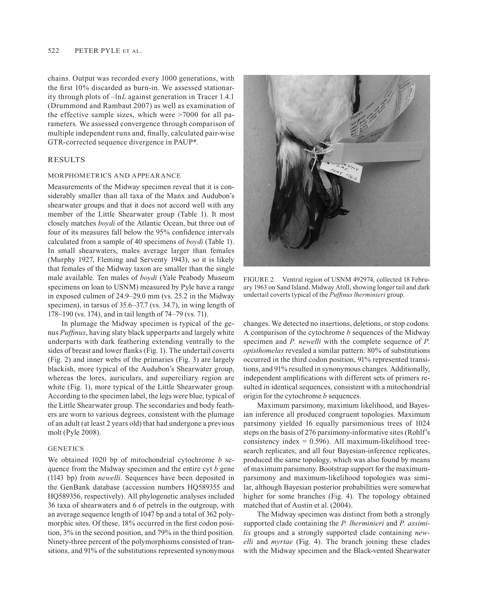chains. Output was recorded every 1000 generations, with the first 10% discarded as burn-in. We assessed stationarity through plots of –ln*L* against generation in Tracer 1.4.1 (Drummond and Rambaut 2007) as well as examination of the effective sample sizes, which were >7000 for all parameters. We assessed convergence through comparison of multiple independent runs and, finally, calculated pair-wise GTR-corrected sequence divergence in PAUP\*.

### RESULTS

#### Morphometrics and appearance

Measurements of the Midway specimen reveal that it is considerably smaller than all taxa of the Manx and Audubon's shearwater groups and that it does not accord well with any member of the Little Shearwater group (Table 1). It most closely matches *boydi* of the Atlantic Ocean, but three out of four of its measures fall below the 95% confidence intervals calculated from a sample of 40 specimens of *boydi* (Table 1). In small shearwaters, males average larger than females (Murphy 1927, Fleming and Serventy 1943), so it is likely that females of the Midway taxon are smaller than the single male available. Ten males of *boydi* (Yale Peabody Museum specimens on loan to USNM) measured by Pyle have a range in exposed culmen of 24.9–29.0 mm (vs. 25.2 in the Midway specimen), in tarsus of 35.6–37.7 (vs. 34.7), in wing length of 178–190 (vs. 174), and in tail length of 74–79 (vs. 71).

In plumage the Midway specimen is typical of the genus *Puffinus*, having slaty black upperparts and largely white underparts with dark feathering extending ventrally to the sides of breast and lower flanks (Fig. 1). The undertail coverts (Fig. 2) and inner webs of the primaries (Fig. 3) are largely blackish, more typical of the Audubon's Shearwater group, whereas the lores, auriculars, and superciliary region are white (Fig. 1), more typical of the Little Shearwater group. According to the specimen label, the legs were blue, typical of the Little Shearwater group. The secondaries and body feathers are worn to various degrees, consistent with the plumage of an adult (at least 2 years old) that had undergone a previous molt (Pyle 2008).

# **GENETICS**

We obtained 1020 bp of mitochondrial cytochrome *b* sequence from the Midway specimen and the entire cyt *b* gene (1143 bp) from *newelli*. Sequences have been deposited in the GenBank database (accession numbers HQ589355 and HQ589356, respectively). All phylogenetic analyses included 36 taxa of shearwaters and 6 of petrels in the outgroup, with an average sequence length of 1047 bp and a total of 362 polymorphic sites. Of these, 18% occurred in the first codon position, 3% in the second position, and 79% in the third position. Ninety-three percent of the polymorphisms consisted of transitions, and 91% of the substitutions represented synonymous



FIGURE 2. Ventral region of USNM 492974, collected 18 February 1963 on Sand Island, Midway Atoll, showing longer tail and dark undertail coverts typical of the *Puffinus lherminieri* group.

changes. We detected no insertions, deletions, or stop codons. A comparison of the cytochrome *b* sequences of the Midway specimen and *P. newelli* with the complete sequence of *P. opisthomelas* revealed a similar pattern: 80% of substitutions occurred in the third codon position, 91% represented transitions, and 91% resulted in synonymous changes. Additionally, independent amplifications with different sets of primers resulted in identical sequences, consistent with a mitochondrial origin for the cytochrome *b* sequences.

Maximum parsimony, maximum likelihood, and Bayesian inference all produced congruent topologies. Maximum parsimony yielded 16 equally parsimonious trees of 1024 steps on the basis of 276 parsimony-informative sites (Rohlf's consistency index  $= 0.596$ ). All maximum-likelihood treesearch replicates, and all four Bayesian-inference replicates, produced the same topology, which was also found by means of maximum parsimony. Bootstrap support for the maximumparsimony and maximum-likelihood topologies was similar, although Bayesian posterior probabilities were somewhat higher for some branches (Fig. 4). The topology obtained matched that of Austin et al. (2004).

The Midway specimen was distinct from both a strongly supported clade containing the *P. lherminieri* and *P. assimilis* groups and a strongly supported clade containing *newelli* and *myrtae* (Fig. 4). The branch joining these clades with the Midway specimen and the Black-vented Shearwater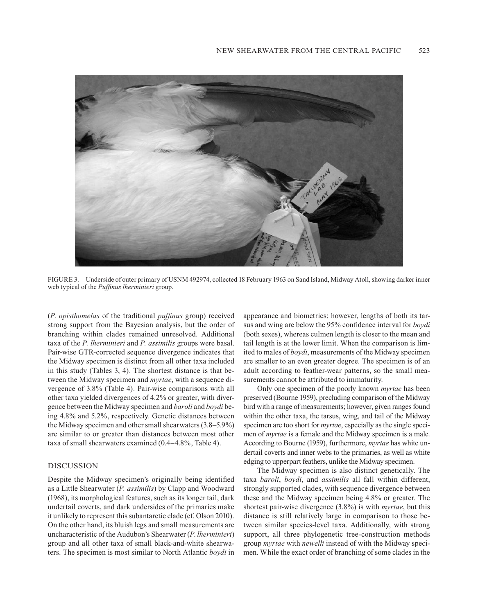

FIGURE 3. Underside of outer primary of USNM 492974, collected 18 February 1963 on Sand Island, Midway Atoll, showing darker inner web typical of the *Puffinus lherminieri* group.

(*P*. *opisthomelas* of the traditional *puffinus* group) received strong support from the Bayesian analysis, but the order of branching within clades remained unresolved. Additional taxa of the *P. lherminieri* and *P. assimilis* groups were basal. Pair-wise GTR-corrected sequence divergence indicates that the Midway specimen is distinct from all other taxa included in this study (Tables 3, 4). The shortest distance is that between the Midway specimen and *myrtae*, with a sequence divergence of 3.8% (Table 4). Pair-wise comparisons with all other taxa yielded divergences of 4.2% or greater, with divergence between the Midway specimen and *baroli* and *boydi* being 4.8% and 5.2%, respectively. Genetic distances between the Midway specimen and other small shearwaters (3.8–5.9%) are similar to or greater than distances between most other taxa of small shearwaters examined (0.4–4.8%, Table 4).

### DISCUSSION

Despite the Midway specimen's originally being identified as a Little Shearwater (*P. assimilis*) by Clapp and Woodward (1968), its morphological features, such as its longer tail, dark undertail coverts, and dark undersides of the primaries make it unlikely to represent this subantarctic clade (cf. Olson 2010). On the other hand, its bluish legs and small measurements are uncharacteristic of the Audubon's Shearwater (*P*. *lherminieri*) group and all other taxa of small black-and-white shearwaters. The specimen is most similar to North Atlantic *boydi* in appearance and biometrics; however, lengths of both its tarsus and wing are below the 95% confidence interval for *boydi* (both sexes), whereas culmen length is closer to the mean and tail length is at the lower limit. When the comparison is limited to males of *boydi*, measurements of the Midway specimen are smaller to an even greater degree. The specimen is of an adult according to feather-wear patterns, so the small measurements cannot be attributed to immaturity.

Only one specimen of the poorly known *myrtae* has been preserved (Bourne 1959), precluding comparison of the Midway bird with a range of measurements; however, given ranges found within the other taxa, the tarsus, wing, and tail of the Midway specimen are too short for *myrtae*, especially as the single specimen of *myrtae* is a female and the Midway specimen is a male. According to Bourne (1959), furthermore, *myrtae* has white undertail coverts and inner webs to the primaries, as well as white edging to upperpart feathers, unlike the Midway specimen.

The Midway specimen is also distinct genetically. The taxa *baroli*, *boydi*, and *assimilis* all fall within different, strongly supported clades, with sequence divergence between these and the Midway specimen being 4.8% or greater. The shortest pair-wise divergence (3.8%) is with *myrtae*, but this distance is still relatively large in comparison to those between similar species-level taxa. Additionally, with strong support, all three phylogenetic tree-construction methods group *myrtae* with *newelli* instead of with the Midway specimen. While the exact order of branching of some clades in the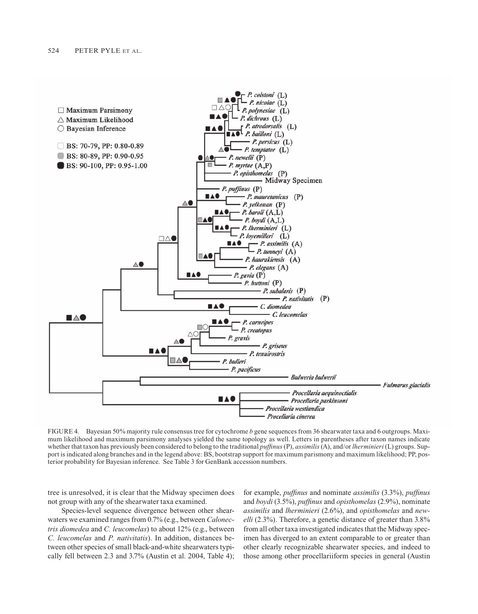

FIGURE 4. Bayesian 50% majority rule consensus tree for cytochrome *b* gene sequences from 36 shearwater taxa and 6 outgroups. Maximum likelihood and maximum parsimony analyses yielded the same topology as well. Letters in parentheses after taxon names indicate whether that taxon has previously been considered to belong to the traditional *puffinus* (P), *assimilis* (A), and/or *lherminieri* (L) groups. Support is indicated along branches and in the legend above: BS, bootstrap support for maximum parismony and maximum likelihood; PP, posterior probability for Bayesian inference. See Table 3 for GenBank accession numbers.

tree is unresolved, it is clear that the Midway specimen does not group with any of the shearwater taxa examined.

Species-level sequence divergence between other shearwaters we examined ranges from 0.7% (e.g., between *Calonectris diomedea* and *C. leucomelas*) to about 12% (e.g., between *C. leucomelas* and *P. nativitatis*). In addition, distances between other species of small black-and-white shearwaters typically fell between 2.3 and 3.7% (Austin et al. 2004, Table 4); for example, *puffinus* and nominate *assimilis* (3.3%), *puffinus* and *boydi* (3.5%), *puffinus* and *opisthomelas* (2.9%), nominate *assimilis* and *lherminieri* (2.6%), and *opisthomelas* and *newelli* (2.3%). Therefore, a genetic distance of greater than 3.8% from all other taxa investigated indicates that the Midway specimen has diverged to an extent comparable to or greater than other clearly recognizable shearwater species, and indeed to those among other procellariiform species in general (Austin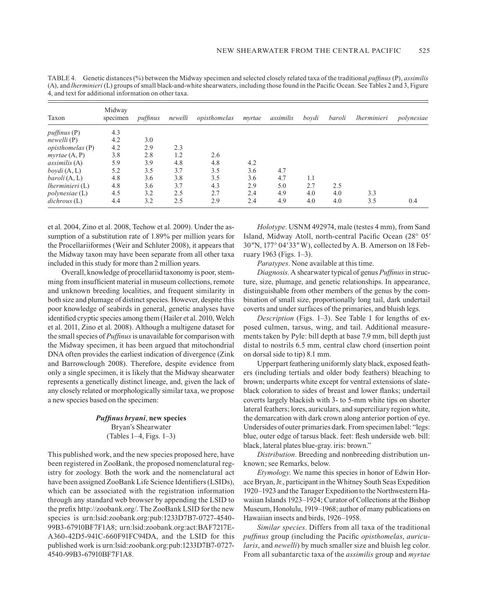| Taxon                    | Midway<br>specimen | puffinus | newelli | opisthomelas | myrtae | assimilis | bovdi | baroli | <i>lherminieri</i> | polynesiae |
|--------------------------|--------------------|----------|---------|--------------|--------|-----------|-------|--------|--------------------|------------|
| <i>puffinus</i> (P)      | 4.3                |          |         |              |        |           |       |        |                    |            |
| newelli(P)               | 4.2                | 3.0      |         |              |        |           |       |        |                    |            |
| opisthomelas(P)          | 4.2                | 2.9      | 2.3     |              |        |           |       |        |                    |            |
| myrtae(A, P)             | 3.8                | 2.8      | 1.2     | 2.6          |        |           |       |        |                    |            |
| $assimilis (A)$          | 5.9                | 3.9      | 4.8     | 4.8          | 4.2    |           |       |        |                    |            |
| bovdi(A, L)              | 5.2                | 3.5      | 3.7     | 3.5          | 3.6    | 4.7       |       |        |                    |            |
| baroli(A, L)             | 4.8                | 3.6      | 3.8     | 3.5          | 3.6    | 4.7       | 1.1   |        |                    |            |
| <i>lherminieri</i> $(L)$ | 4.8                | 3.6      | 3.7     | 4.3          | 2.9    | 5.0       | 2.7   | 2.5    |                    |            |
| polynesiae(L)            | 4.5                | 3.2      | 2.5     | 2.7          | 2.4    | 4.9       | 4.0   | 4.0    | 3.3                |            |
| dichrous (L)             | 4.4                | 3.2      | 2.5     | 2.9          | 2.4    | 4.9       | 4.0   | 4.0    | 3.5                | 0.4        |

Table 4. Genetic distances (%) between the Midway specimen and selected closely related taxa of the traditional *puffinus* (P), *assimilis* (A), and *lherminieri* (L) groups of small black-and-white shearwaters, including those found in the Pacific Ocean. See Tables 2 and 3, Figure 4, and text for additional information on other taxa.

et al. 2004, Zino et al. 2008, Techow et al. 2009). Under the assumption of a substitution rate of 1.89% per million years for the Procellariiformes (Weir and Schluter 2008), it appears that the Midway taxon may have been separate from all other taxa included in this study for more than 2 million years.

Overall, knowledge of procellariid taxonomy is poor, stemming from insufficient material in museum collections, remote and unknown breeding localities, and frequent similarity in both size and plumage of distinct species. However, despite this poor knowledge of seabirds in general, genetic analyses have identified cryptic species among them (Hailer et al. 2010, Welch et al. 2011, Zino et al. 2008). Although a multigene dataset for the small species of *Puffinus* is unavailable for comparison with the Midway specimen, it has been argued that mitochondrial DNA often provides the earliest indication of divergence (Zink and Barrowclough 2008). Therefore, despite evidence from only a single specimen, it is likely that the Midway shearwater represents a genetically distinct lineage, and, given the lack of any closely related or morphologically similar taxa, we propose a new species based on the specimen:

# *Puffinus bryani*, **new species** Bryan's Shearwater (Tables 1–4, Figs. 1–3)

This published work, and the new species proposed here, have been registered in ZooBank, the proposed nomenclatural registry for zoology. Both the work and the nomenclatural act have been assigned ZooBank Life Science Identifiers (LSIDs), which can be associated with the registration information through any standard web browser by appending the LSID to the prefix http://zoobank.org/. The ZooBank LSID for the new species is urn:lsid:zoobank.org:pub:1233D7B7-0727-4540- 99B3-67910BF7F1A8; urn:lsid:zoobank.org:act:BAF7217E-A360-42D5-941C-660F91FC94DA, and the LSID for this published work is urn:lsid:zoobank.org:pub:1233D7B7-0727- 4540-99B3-67910BF7F1A8.

*Holotype*. USNM 492974, male (testes 4 mm), from Sand Island, Midway Atoll, north-central Pacific Ocean (28° 05*'* 30*"*N, 177° 04*'* 33*"* W), collected by A. B. Amerson on 18 February 1963 (Figs. 1–3).

*Paratypes*. None available at this time.

*Diagnosis*. A shearwater typical of genus *Puffinus* in structure, size, plumage, and genetic relationships. In appearance, distinguishable from other members of the genus by the combination of small size, proportionally long tail, dark undertail coverts and under surfaces of the primaries, and bluish legs.

*Description* (Figs. 1–3). See Table 1 for lengths of exposed culmen, tarsus, wing, and tail. Additional measurements taken by Pyle: bill depth at base 7.9 mm, bill depth just distal to nostrils 6.5 mm, central claw chord (insertion point on dorsal side to tip) 8.1 mm.

Upperpart feathering uniformly slaty black, exposed feathers (including tertials and older body feathers) bleaching to brown; underparts white except for ventral extensions of slateblack coloration to sides of breast and lower flanks; undertail coverts largely blackish with 3- to 5-mm white tips on shorter lateral feathers; lores, auriculars, and superciliary region white, the demarcation with dark crown along anterior portion of eye. Undersides of outer primaries dark. From specimen label: "legs: blue, outer edge of tarsus black. feet: flesh underside web. bill: black, lateral plates blue-gray. iris: brown."

*Distribution*. Breeding and nonbreeding distribution unknown; see Remarks, below.

*Etymology*. We name this species in honor of Edwin Horace Bryan, Jr., participant in the Whitney South Seas Expedition 1920–1923 and the Tanager Expedition to the Northwestern Hawaiian Islands 1923–1924; Curator of Collections at the Bishop Museum, Honolulu, 1919–1968; author of many publications on Hawaiian insects and birds, 1926–1958.

*Similar species*. Differs from all taxa of the traditional *puffinus* group (including the Pacific *opisthomelas*, *auricularis*, and *newelli*) by much smaller size and bluish leg color. From all subantarctic taxa of the *assimilis* group and *myrtae*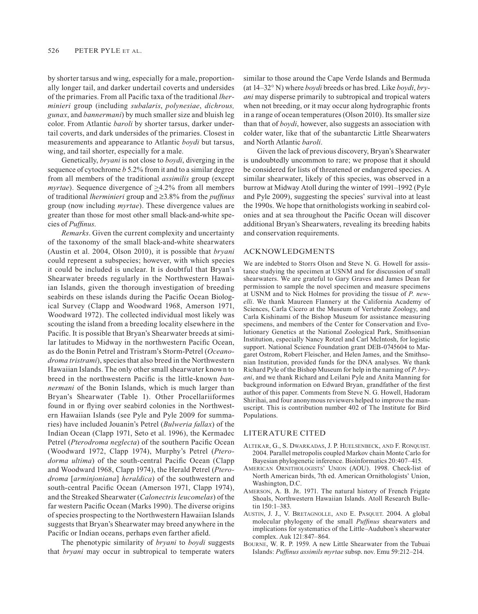by shorter tarsus and wing, especially for a male, proportionally longer tail, and darker undertail coverts and undersides of the primaries. From all Pacific taxa of the traditional *lherminieri* group (including *subalaris*, *polynesiae*, *dichrous, gunax*, and *bannermani*) by much smaller size and bluish leg color. From Atlantic *baroli* by shorter tarsus, darker undertail coverts, and dark undersides of the primaries. Closest in measurements and appearance to Atlantic *boydi* but tarsus, wing, and tail shorter, especially for a male.

Genetically, *bryani* is not close to *boydi*, diverging in the sequence of cytochrome *b* 5.2% from it and to a similar degree from all members of the traditional *assimilis* group (except *myrtae*). Sequence divergence of  $\geq$ 4.2% from all members of traditional *lherminieri* group and ≥3.8% from the *puffinus* group (now including *myrtae*). These divergence values are greater than those for most other small black-and-white species of *Puffinus*.

*Remarks*. Given the current complexity and uncertainty of the taxonomy of the small black-and-white shearwaters (Austin et al. 2004, Olson 2010), it is possible that *bryani* could represent a subspecies; however, with which species it could be included is unclear. It is doubtful that Bryan's Shearwater breeds regularly in the Northwestern Hawaiian Islands, given the thorough investigation of breeding seabirds on these islands during the Pacific Ocean Biological Survey (Clapp and Woodward 1968, Amerson 1971, Woodward 1972). The collected individual most likely was scouting the island from a breeding locality elsewhere in the Pacific. It is possible that Bryan's Shearwater breeds at similar latitudes to Midway in the northwestern Pacific Ocean, as do the Bonin Petrel and Tristram's Storm-Petrel (*Oceanodroma tristrami*), species that also breed in the Northwestern Hawaiian Islands. The only other small shearwater known to breed in the northwestern Pacific is the little-known *bannermani* of the Bonin Islands, which is much larger than Bryan's Shearwater (Table 1). Other Procellariiformes found in or flying over seabird colonies in the Northwestern Hawaiian Islands (see Pyle and Pyle 2009 for summaries) have included Jouanin's Petrel (*Bulweria fallax*) of the Indian Ocean (Clapp 1971, Seto et al. 1996), the Kermadec Petrel (*Pterodroma neglecta*) of the southern Pacific Ocean (Woodward 1972, Clapp 1974), Murphy's Petrel (*Pterodorma ultima*) of the south-central Pacific Ocean (Clapp and Woodward 1968, Clapp 1974), the Herald Petrel (*Pterodroma* [*arminjoniana*] *heraldica*) of the southwestern and south-central Pacific Ocean (Amerson 1971, Clapp 1974), and the Streaked Shearwater (*Calonectris leucomelas*) of the far western Pacific Ocean (Marks 1990). The diverse origins of species prospecting to the Northwestern Hawaiian Islands suggests that Bryan's Shearwater may breed anywhere in the Pacific or Indian oceans, perhaps even farther afield.

The phenotypic similarity of *bryani* to *boydi* suggests that *bryani* may occur in subtropical to temperate waters

similar to those around the Cape Verde Islands and Bermuda (at 14–32° N) where *boydi* breeds or has bred. Like *boydi*, *bryani* may disperse primarily to subtropical and tropical waters when not breeding, or it may occur along hydrographic fronts in a range of ocean temperatures (Olson 2010). Its smaller size than that of *boydi*, however, also suggests an association with colder water, like that of the subantarctic Little Shearwaters and North Atlantic *baroli*.

Given the lack of previous discovery, Bryan's Shearwater is undoubtedly uncommon to rare; we propose that it should be considered for lists of threatened or endangered species. A similar shearwater, likely of this species, was observed in a burrow at Midway Atoll during the winter of 1991–1992 (Pyle and Pyle 2009), suggesting the species' survival into at least the 1990s. We hope that ornithologists working in seabird colonies and at sea throughout the Pacific Ocean will discover additional Bryan's Shearwaters, revealing its breeding habits and conservation requirements.

#### ACKNOWLEDGMENTS

We are indebted to Storrs Olson and Steve N. G. Howell for assistance studying the specimen at USNM and for discussion of small shearwaters. We are grateful to Gary Graves and James Dean for permission to sample the novel specimen and measure specimens at USNM and to Nick Holmes for providing the tissue of *P. newelli*. We thank Maureen Flannery at the California Academy of Sciences, Carla Cicero at the Museum of Vertebrate Zoology, and Carla Kishinami of the Bishop Museum for assistance measuring specimens, and members of the Center for Conservation and Evolutionary Genetics at the National Zoological Park, Smithsonian Institution, especially Nancy Rotzel and Carl McIntosh, for logistic support. National Science Foundation grant DEB-0745604 to Margaret Ostrom, Robert Fleischer, and Helen James, and the Smithsonian Institution, provided funds for the DNA analyses. We thank Richard Pyle of the Bishop Museum for help in the naming of *P*. *bryani*, and we thank Richard and Leilani Pyle and Anita Manning for background information on Edward Bryan, grandfather of the first author of this paper. Comments from Steve N. G. Howell, Hadoram Shirihai, and four anonymous reviewers helped to improve the manuscript. This is contribution number 402 of The Institute for Bird Populations.

#### LITERATURE CITED

- Altekar, G., S. Dwarkadas, J. P. Huelsenbeck, and F. Ronquist. 2004. Parallel metropolis coupled Markov chain Monte Carlo for Bayesian phylogenetic inference. Bioinformatics 20:407–415.
- American Ornithologists' Union (AOU). 1998. Check-list of North American birds, 7th ed. American Ornithologists' Union, Washington, D.C.
- AMERSON, A. B. JR. 1971. The natural history of French Frigate Shoals, Northwestern Hawaiian Islands. Atoll Research Bulle- $\frac{150 \cdot 1 - 383}{ }$
- Austin, J. J., V. Bretagnolle, and E. Pasquet. 2004. A global molecular phylogeny of the small *Puffinus* shearwaters and implications for systematics of the Little–Audubon's shearwater complex. Auk 121:847–864.
- Bourne, W. R. P. 1959. A new Little Shearwater from the Tubuai Islands: *Puffinus assimils myrtae* subsp. nov. Emu 59:212–214.